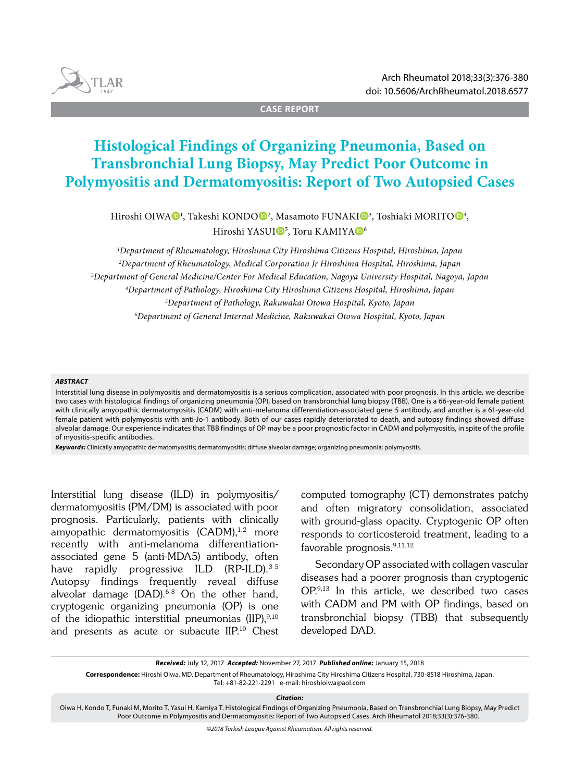

**CASE REPORT**

# **Histological Findings of Organizing Pneumonia, Based on Transbronchial Lung Biopsy, May Predict Poor Outcome in Polymyositis and Dermatomyositis: Report of Two Autopsied Cases**

Hiroshi OIWA $\mathbf{\Theta}^1$ , Takeshi KONDO $\mathbf{\Theta}^2$ , Masamoto FUNAKI $\mathbf{\Theta}^3$ , Toshiaki MORITO $\mathbf{\Theta}^4$ , Hiroshi YASUI<sup>®5</sup>, Toru KAMIYA®

 *Department of Rheumatology, Hiroshima City Hiroshima Citizens Hospital, Hiroshima, Japan Department of Rheumatology, Medical Corporation Jr Hiroshima Hospital, Hiroshima, Japan Department of General Medicine/Center For Medical Education, Nagoya University Hospital, Nagoya, Japan Department of Pathology, Hiroshima City Hiroshima Citizens Hospital, Hiroshima, Japan Department of Pathology, Rakuwakai Otowa Hospital, Kyoto, Japan Department of General Internal Medicine, Rakuwakai Otowa Hospital, Kyoto, Japan*

#### *ABSTRACT*

Interstitial lung disease in polymyositis and dermatomyositis is a serious complication, associated with poor prognosis. In this article, we describe two cases with histological findings of organizing pneumonia (OP), based on transbronchial lung biopsy (TBB). One is a 66-year-old female patient with clinically amyopathic dermatomyositis (CADM) with anti-melanoma differentiation-associated gene 5 antibody, and another is a 61-year-old female patient with polymyositis with anti-Jo-1 antibody. Both of our cases rapidly deteriorated to death, and autopsy findings showed diffuse alveolar damage. Our experience indicates that TBB findings of OP may be a poor prognostic factor in CADM and polymyositis, in spite of the profile of myositis-specific antibodies.

Keywords: Clinically amyopathic dermatomyositis; dermatomyositis; diffuse alveolar damage; organizing pneumonia; polymyositis.

Interstitial lung disease (ILD) in polymyositis/ dermatomyositis (PM/DM) is associated with poor prognosis. Particularly, patients with clinically amyopathic dermatomyositis  $(CADM)^{1,2}$  more recently with anti-melanoma differentiationassociated gene 5 (anti-MDA5) antibody, often have rapidly progressive ILD (RP-ILD).<sup>3-5</sup> Autopsy findings frequently reveal diffuse alveolar damage (DAD).<sup>6-8</sup> On the other hand, cryptogenic organizing pneumonia (OP) is one of the idiopathic interstitial pneumonias  $(IIP)$ ,<sup>9,10</sup> and presents as acute or subacute IIP.10 Chest computed tomography (CT) demonstrates patchy and often migratory consolidation, associated with ground-glass opacity. Cryptogenic OP often responds to corticosteroid treatment, leading to a favorable prognosis.9,11,12

Secondary OP associated with collagen vascular diseases had a poorer prognosis than cryptogenic OP.9,13 In this article, we described two cases with CADM and PM with OP findings, based on transbronchial biopsy (TBB) that subsequently developed DAD.

*Received:* July 12, 2017 *Accepted:* November 27, 2017 *Published online:* January 15, 2018

**Correspondence:** Hiroshi Oiwa, MD. Department of Rheumatology, Hiroshima City Hiroshima Citizens Hospital, 730-8518 Hiroshima, Japan.

Tel: +81-82-221-2291 e-mail: hiroshioiwa@aol.com

*Citation:*

Oiwa H, Kondo T, Funaki M, Morito T, Yasui H, Kamiya T. Histological Findings of Organizing Pneumonia, Based on Transbronchial Lung Biopsy, May Predict Poor Outcome in Polymyositis and Dermatomyositis: Report of Two Autopsied Cases. Arch Rheumatol 2018;33(3):376-380.

*©2018 Turkish League Against Rheumatism. All rights reserved.*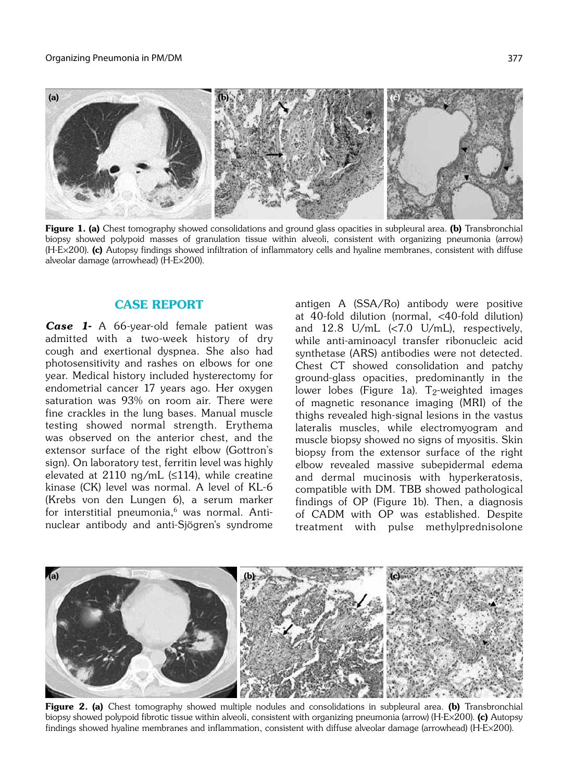

Figure 1. (a) Chest tomography showed consolidations and ground glass opacities in subpleural area. (b) Transbronchial biopsy showed polypoid masses of granulation tissue within alveoli, consistent with organizing pneumonia (arrow) (H-E×200). (c) Autopsy findings showed infiltration of inflammatory cells and hyaline membranes, consistent with diffuse alveolar damage (arrowhead) (H-E×200).

## CASE REPORT

Case 1- A 66-year-old female patient was admitted with a two-week history of dry cough and exertional dyspnea. She also had photosensitivity and rashes on elbows for one year. Medical history included hysterectomy for endometrial cancer 17 years ago. Her oxygen saturation was 93% on room air. There were fine crackles in the lung bases. Manual muscle testing showed normal strength. Erythema was observed on the anterior chest, and the extensor surface of the right elbow (Gottron's sign). On laboratory test, ferritin level was highly elevated at 2110 ng/mL  $(\leq 114)$ , while creatine kinase (CK) level was normal. A level of KL-6 (Krebs von den Lungen 6), a serum marker for interstitial pneumonia,<sup>6</sup> was normal. Antinuclear antibody and anti-Sjögren's syndrome

antigen A (SSA/Ro) antibody were positive at 40-fold dilution (normal, <40-fold dilution) and 12.8 U/mL (<7.0 U/mL), respectively, while anti-aminoacyl transfer ribonucleic acid synthetase (ARS) antibodies were not detected. Chest CT showed consolidation and patchy ground-glass opacities, predominantly in the lower lobes (Figure 1a). T<sub>2</sub>-weighted images of magnetic resonance imaging (MRI) of the thighs revealed high-signal lesions in the vastus lateralis muscles, while electromyogram and muscle biopsy showed no signs of myositis. Skin biopsy from the extensor surface of the right elbow revealed massive subepidermal edema and dermal mucinosis with hyperkeratosis, compatible with DM. TBB showed pathological findings of OP (Figure 1b). Then, a diagnosis of CADM with OP was established. Despite treatment with pulse methylprednisolone



Figure 2. (a) Chest tomography showed multiple nodules and consolidations in subpleural area. (b) Transbronchial biopsy showed polypoid fibrotic tissue within alveoli, consistent with organizing pneumonia (arrow) (H-E $\times$ 200). (c) Autopsy findings showed hyaline membranes and inflammation, consistent with diffuse alveolar damage (arrowhead) (H-E×200).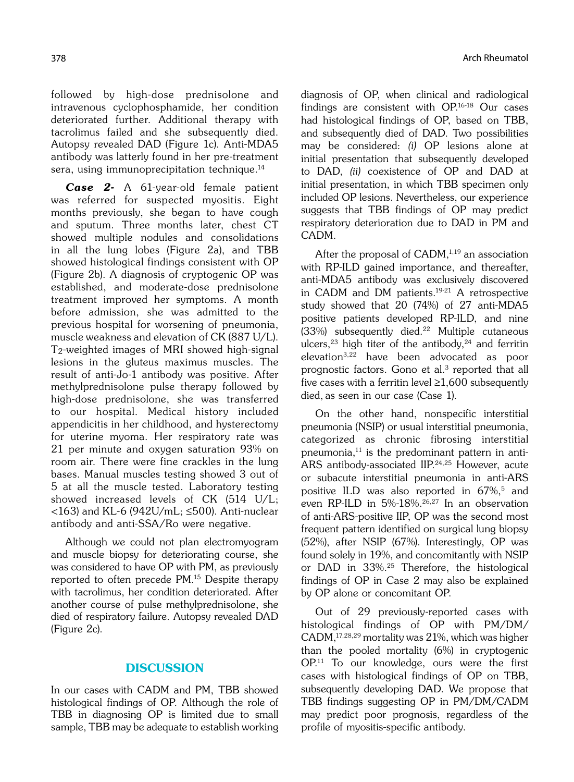followed by high-dose prednisolone and intravenous cyclophosphamide, her condition deteriorated further. Additional therapy with tacrolimus failed and she subsequently died. Autopsy revealed DAD (Figure 1c). Anti-MDA5 antibody was latterly found in her pre-treatment sera, using immunoprecipitation technique.<sup>14</sup>

Case 2- A 61-year-old female patient was referred for suspected myositis. Eight months previously, she began to have cough and sputum. Three months later, chest CT showed multiple nodules and consolidations in all the lung lobes (Figure 2a), and TBB showed histological findings consistent with OP (Figure 2b). A diagnosis of cryptogenic OP was established, and moderate-dose prednisolone treatment improved her symptoms. A month before admission, she was admitted to the previous hospital for worsening of pneumonia, muscle weakness and elevation of CK (887 U/L). T2-weighted images of MRI showed high-signal lesions in the gluteus maximus muscles. The result of anti-Jo-1 antibody was positive. After methylprednisolone pulse therapy followed by high-dose prednisolone, she was transferred to our hospital. Medical history included appendicitis in her childhood, and hysterectomy for uterine myoma. Her respiratory rate was 21 per minute and oxygen saturation 93% on room air. There were fine crackles in the lung bases. Manual muscles testing showed 3 out of 5 at all the muscle tested. Laboratory testing showed increased levels of CK (514 U/L; <163) and KL-6 (942U/mL; ≤500). Anti-nuclear antibody and anti-SSA/Ro were negative.

Although we could not plan electromyogram and muscle biopsy for deteriorating course, she was considered to have OP with PM, as previously reported to often precede PM.15 Despite therapy with tacrolimus, her condition deteriorated. After another course of pulse methylprednisolone, she died of respiratory failure. Autopsy revealed DAD (Figure 2c).

## **DISCUSSION**

In our cases with CADM and PM, TBB showed histological findings of OP. Although the role of TBB in diagnosing OP is limited due to small sample, TBB may be adequate to establish working diagnosis of OP, when clinical and radiological findings are consistent with OP.16-18 Our cases had histological findings of OP, based on TBB, and subsequently died of DAD. Two possibilities may be considered: (i) OP lesions alone at initial presentation that subsequently developed to DAD, (ii) coexistence of OP and DAD at initial presentation, in which TBB specimen only included OP lesions. Nevertheless, our experience suggests that TBB findings of OP may predict respiratory deterioration due to DAD in PM and CADM.

After the proposal of  $CADM$ ,<sup> $1,19$ </sup> an association with RP-ILD gained importance, and thereafter, anti-MDA5 antibody was exclusively discovered in CADM and DM patients.19-21 A retrospective study showed that 20 (74%) of 27 anti-MDA5 positive patients developed RP-ILD, and nine  $(33%)$  subsequently died.<sup>22</sup> Multiple cutaneous ulcers,<sup>23</sup> high titer of the antibody,<sup>24</sup> and ferritin elevation3,22 have been advocated as poor prognostic factors. Gono et al.3 reported that all five cases with a ferritin level  $\geq$ 1,600 subsequently died, as seen in our case (Case 1).

On the other hand, nonspecific interstitial pneumonia (NSIP) or usual interstitial pneumonia, categorized as chronic fibrosing interstitial pneumonia, $11$  is the predominant pattern in anti-ARS antibody-associated IIP.24,25 However, acute or subacute interstitial pneumonia in anti-ARS positive ILD was also reported in 67%,<sup>5</sup> and even RP-ILD in 5%-18%.26,27 In an observation of anti-ARS-positive IIP, OP was the second most frequent pattern identified on surgical lung biopsy (52%), after NSIP (67%). Interestingly, OP was found solely in 19%, and concomitantly with NSIP or DAD in 33%.25 Therefore, the histological findings of OP in Case 2 may also be explained by OP alone or concomitant OP.

Out of 29 previously-reported cases with histological findings of OP with PM/DM/ CADM,17,28,29 mortality was 21%, which was higher than the pooled mortality (6%) in cryptogenic OP.11 To our knowledge, ours were the first cases with histological findings of OP on TBB, subsequently developing DAD. We propose that TBB findings suggesting OP in PM/DM/CADM may predict poor prognosis, regardless of the profile of myositis-specific antibody.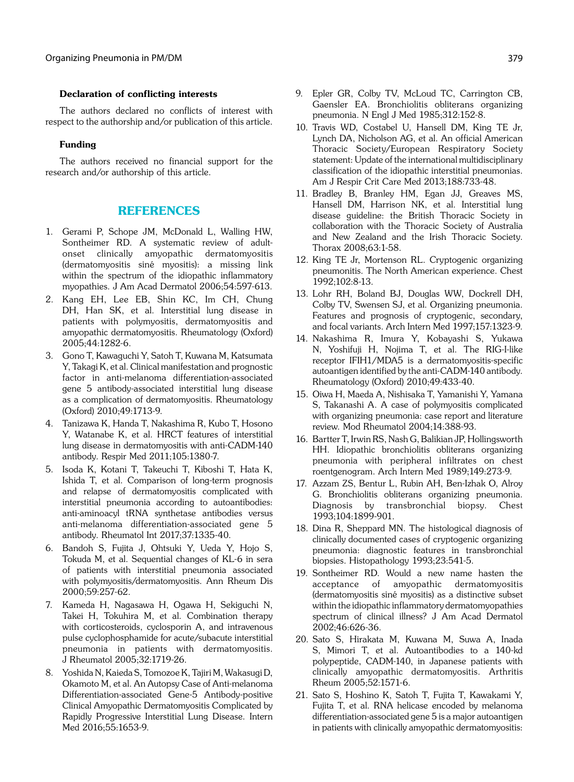### Declaration of conflicting interests

The authors declared no conflicts of interest with respect to the authorship and/or publication of this article.

#### Funding

The authors received no financial support for the research and/or authorship of this article.

## REFERENCES

- 1. Gerami P, Schope JM, McDonald L, Walling HW, Sontheimer RD. A systematic review of adultonset clinically amyopathic dermatomyositis (dermatomyositis siné myositis): a missing link within the spectrum of the idiopathic inflammatory myopathies. J Am Acad Dermatol 2006;54:597-613.
- 2. Kang EH, Lee EB, Shin KC, Im CH, Chung DH, Han SK, et al. Interstitial lung disease in patients with polymyositis, dermatomyositis and amyopathic dermatomyositis. Rheumatology (Oxford) 2005;44:1282-6.
- 3. Gono T, Kawaguchi Y, Satoh T, Kuwana M, Katsumata Y, Takagi K, et al. Clinical manifestation and prognostic factor in anti-melanoma differentiation-associated gene 5 antibody-associated interstitial lung disease as a complication of dermatomyositis. Rheumatology (Oxford) 2010;49:1713-9.
- 4. Tanizawa K, Handa T, Nakashima R, Kubo T, Hosono Y, Watanabe K, et al. HRCT features of interstitial lung disease in dermatomyositis with anti-CADM-140 antibody. Respir Med 2011;105:1380-7.
- 5. Isoda K, Kotani T, Takeuchi T, Kiboshi T, Hata K, Ishida T, et al. Comparison of long-term prognosis and relapse of dermatomyositis complicated with interstitial pneumonia according to autoantibodies: anti-aminoacyl tRNA synthetase antibodies versus anti-melanoma differentiation-associated gene 5 antibody. Rheumatol Int 2017;37:1335-40.
- 6. Bandoh S, Fujita J, Ohtsuki Y, Ueda Y, Hojo S, Tokuda M, et al. Sequential changes of KL-6 in sera of patients with interstitial pneumonia associated with polymyositis/dermatomyositis. Ann Rheum Dis 2000;59:257-62.
- 7. Kameda H, Nagasawa H, Ogawa H, Sekiguchi N, Takei H, Tokuhira M, et al. Combination therapy with corticosteroids, cyclosporin A, and intravenous pulse cyclophosphamide for acute/subacute interstitial pneumonia in patients with dermatomyositis. J Rheumatol 2005;32:1719-26.
- 8. Yoshida N, Kaieda S, Tomozoe K, Tajiri M, Wakasugi D, Okamoto M, et al. An Autopsy Case of Anti-melanoma Differentiation-associated Gene-5 Antibody-positive Clinical Amyopathic Dermatomyositis Complicated by Rapidly Progressive Interstitial Lung Disease. Intern Med 2016;55:1653-9.
- 9. Epler GR, Colby TV, McLoud TC, Carrington CB, Gaensler EA. Bronchiolitis obliterans organizing pneumonia. N Engl J Med 1985;312:152-8.
- 10. Travis WD, Costabel U, Hansell DM, King TE Jr, Lynch DA, Nicholson AG, et al. An official American Thoracic Society/European Respiratory Society statement: Update of the international multidisciplinary classification of the idiopathic interstitial pneumonias. Am J Respir Crit Care Med 2013;188:733-48.
- 11. Bradley B, Branley HM, Egan JJ, Greaves MS, Hansell DM, Harrison NK, et al. Interstitial lung disease guideline: the British Thoracic Society in collaboration with the Thoracic Society of Australia and New Zealand and the Irish Thoracic Society. Thorax 2008;63:1-58.
- 12. King TE Jr, Mortenson RL. Cryptogenic organizing pneumonitis. The North American experience. Chest 1992;102:8-13.
- 13. Lohr RH, Boland BJ, Douglas WW, Dockrell DH, Colby TV, Swensen SJ, et al. Organizing pneumonia. Features and prognosis of cryptogenic, secondary, and focal variants. Arch Intern Med 1997;157:1323-9.
- 14. Nakashima R, Imura Y, Kobayashi S, Yukawa N, Yoshifuji H, Nojima T, et al. The RIG-I-like receptor IFIH1/MDA5 is a dermatomyositis-specific autoantigen identified by the anti-CADM-140 antibody. Rheumatology (Oxford) 2010;49:433-40.
- 15. Oiwa H, Maeda A, Nishisaka T, Yamanishi Y, Yamana S, Takanashi A. A case of polymyositis complicated with organizing pneumonia: case report and literature review. Mod Rheumatol 2004;14:388-93.
- 16. Bartter T, Irwin RS, Nash G, Balikian JP, Hollingsworth HH. Idiopathic bronchiolitis obliterans organizing pneumonia with peripheral infiltrates on chest roentgenogram. Arch Intern Med 1989;149:273-9.
- 17. Azzam ZS, Bentur L, Rubin AH, Ben-Izhak O, Alroy G. Bronchiolitis obliterans organizing pneumonia. Diagnosis by transbronchial biopsy. Chest 1993;104:1899-901.
- 18. Dina R, Sheppard MN. The histological diagnosis of clinically documented cases of cryptogenic organizing pneumonia: diagnostic features in transbronchial biopsies. Histopathology 1993;23:541-5.
- 19. Sontheimer RD. Would a new name hasten the acceptance of amyopathic dermatomyositis (dermatomyositis siné myositis) as a distinctive subset within the idiopathic inflammatory dermatomyopathies spectrum of clinical illness? J Am Acad Dermatol 2002;46:626-36.
- 20. Sato S, Hirakata M, Kuwana M, Suwa A, Inada S, Mimori T, et al. Autoantibodies to a 140-kd polypeptide, CADM-140, in Japanese patients with clinically amyopathic dermatomyositis. Arthritis Rheum 2005;52:1571-6.
- 21. Sato S, Hoshino K, Satoh T, Fujita T, Kawakami Y, Fujita T, et al. RNA helicase encoded by melanoma differentiation-associated gene 5 is a major autoantigen in patients with clinically amyopathic dermatomyositis: